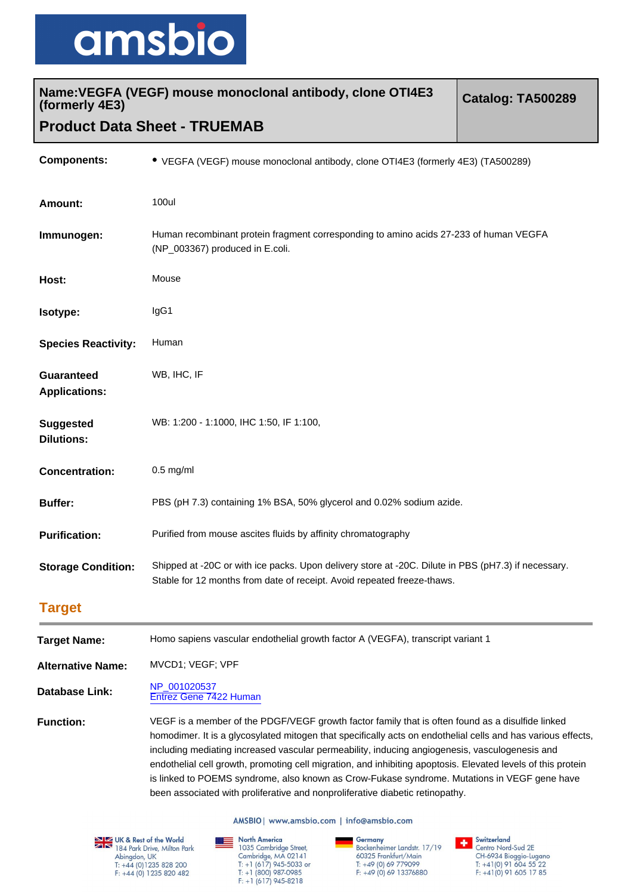

| Name: VEGFA (VEGF) mouse monoclonal antibody, clone OTI4E3<br>(formerly 4E3) |                                                                                                                                                                                | Catalog: TA500289 |
|------------------------------------------------------------------------------|--------------------------------------------------------------------------------------------------------------------------------------------------------------------------------|-------------------|
|                                                                              | <b>Product Data Sheet - TRUEMAB</b>                                                                                                                                            |                   |
| <b>Components:</b>                                                           | • VEGFA (VEGF) mouse monoclonal antibody, clone OTI4E3 (formerly 4E3) (TA500289)                                                                                               |                   |
| <b>Amount:</b>                                                               | 100ul                                                                                                                                                                          |                   |
| Immunogen:                                                                   | Human recombinant protein fragment corresponding to amino acids 27-233 of human VEGFA<br>(NP_003367) produced in E.coli.                                                       |                   |
| Host:                                                                        | Mouse                                                                                                                                                                          |                   |
| Isotype:                                                                     | IgG1                                                                                                                                                                           |                   |
| <b>Species Reactivity:</b>                                                   | Human                                                                                                                                                                          |                   |
| <b>Guaranteed</b><br><b>Applications:</b>                                    | WB, IHC, IF                                                                                                                                                                    |                   |
| <b>Suggested</b><br><b>Dilutions:</b>                                        | WB: 1:200 - 1:1000, IHC 1:50, IF 1:100,                                                                                                                                        |                   |
| <b>Concentration:</b>                                                        | $0.5$ mg/ml                                                                                                                                                                    |                   |
| <b>Buffer:</b>                                                               | PBS (pH 7.3) containing 1% BSA, 50% glycerol and 0.02% sodium azide.                                                                                                           |                   |
| <b>Purification:</b>                                                         | Purified from mouse ascites fluids by affinity chromatography                                                                                                                  |                   |
| <b>Storage Condition:</b>                                                    | Shipped at -20C or with ice packs. Upon delivery store at -20C. Dilute in PBS (pH7.3) if necessary.<br>Stable for 12 months from date of receipt. Avoid repeated freeze-thaws. |                   |
| <b>Target</b>                                                                |                                                                                                                                                                                |                   |

| <b>Target Name:</b>      | Homo sapiens vascular endothelial growth factor A (VEGFA), transcript variant 1                                                                                                                                                                                                                                                                                                                                                                                                                                                                                                                                     |
|--------------------------|---------------------------------------------------------------------------------------------------------------------------------------------------------------------------------------------------------------------------------------------------------------------------------------------------------------------------------------------------------------------------------------------------------------------------------------------------------------------------------------------------------------------------------------------------------------------------------------------------------------------|
| <b>Alternative Name:</b> | MVCD1; VEGF; VPF                                                                                                                                                                                                                                                                                                                                                                                                                                                                                                                                                                                                    |
| <b>Database Link:</b>    | NP 001020537<br>Entrez Gene 7422 Human                                                                                                                                                                                                                                                                                                                                                                                                                                                                                                                                                                              |
| <b>Function:</b>         | VEGF is a member of the PDGF/VEGF growth factor family that is often found as a disulfide linked<br>homodimer. It is a glycosylated mitogen that specifically acts on endothelial cells and has various effects,<br>including mediating increased vascular permeability, inducing angiogenesis, vasculogenesis and<br>endothelial cell growth, promoting cell migration, and inhibiting apoptosis. Elevated levels of this protein<br>is linked to POEMS syndrome, also known as Crow-Fukase syndrome. Mutations in VEGF gene have<br>been associated with proliferative and nonproliferative diabetic retinopathy. |

AMSBIO | www.amsbio.com | info@amsbio.com

**EXECUTE 8:** Rest of the World<br>184 Park Drive, Milton Park<br>Abingdon, UK<br>1: +44 (0) 1235 828 200<br>1: +44 (0) 1235 820 482

**North America**<br>
1035 Cambridge Street,<br>
Cambridge, MA 02141<br>
1: +1 (617) 945-5033 or<br>
1: +1 (800) 987-0985<br>
F: +1 (617) 945-8218

**Germany**<br>Bockenheimer Landstr. 17/19<br>60325 Frankfurt/Main<br>T: +49 (0) 69 779099<br>F: +49 (0) 69 13376880

Switzerland<br>Centro Nord-Sud 2E Centro 1901-300 ZL<br>CH-6934 Bioggio-Lugano<br>T: +41(0) 91 604 55 22<br>F: +41(0) 91 605 17 85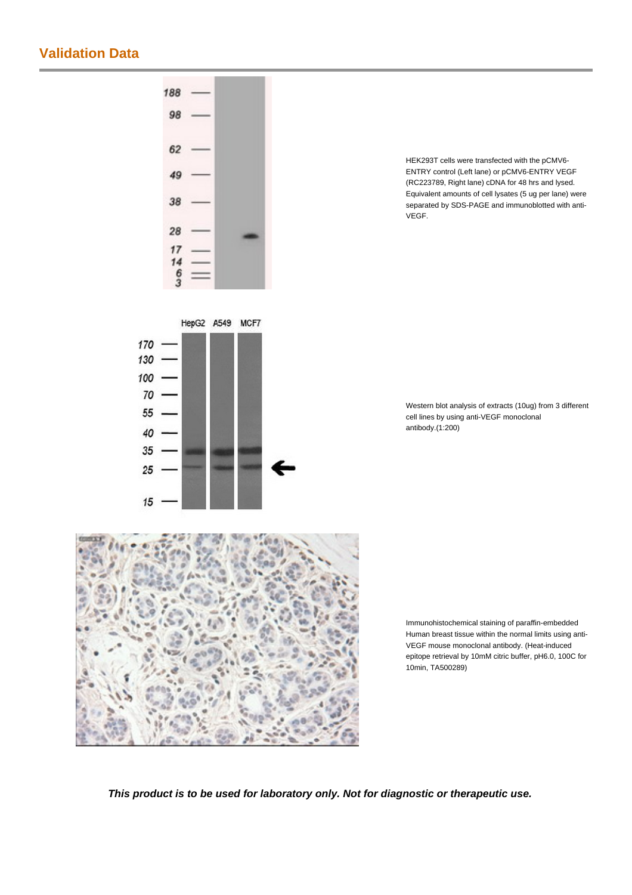## **Validation Data**



HEK293T cells were transfected with the pCMV6- ENTRY control (Left lane) or pCMV6-ENTRY VEGF (RC223789, Right lane) cDNA for 48 hrs and lysed. Equivalent amounts of cell lysates (5 ug per lane) were separated by SDS-PAGE and immunoblotted with anti-VEGF.

Western blot analysis of extracts (10ug) from 3 different cell lines by using anti-VEGF monoclonal antibody.(1:200)

Immunohistochemical staining of paraffin-embedded Human breast tissue within the normal limits using anti-VEGF mouse monoclonal antibody. (Heat-induced epitope retrieval by 10mM citric buffer, pH6.0, 100C for 10min, TA500289)

**This product is to be used for laboratory only. Not for diagnostic or therapeutic use.**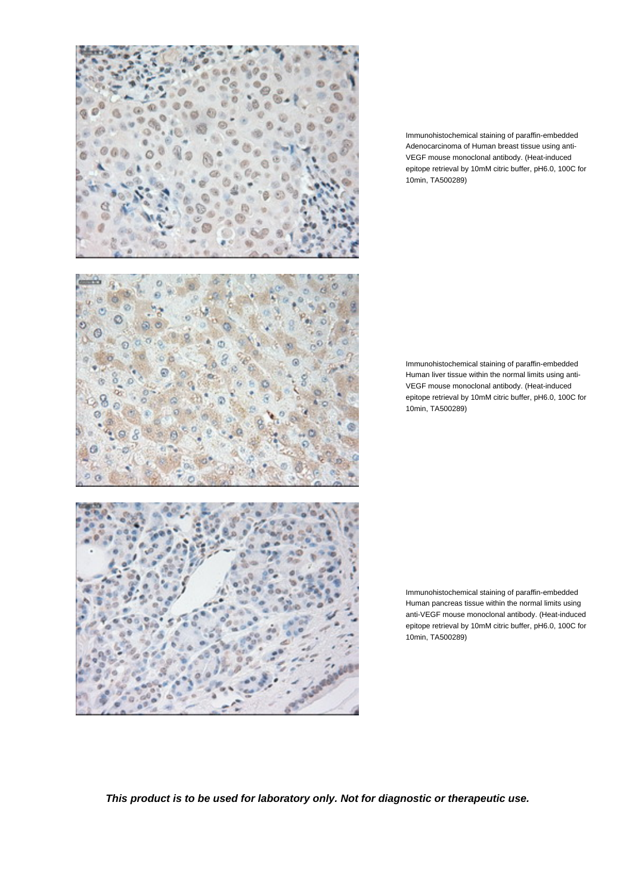

Immunohistochemical staining of paraffin-embedded Adenocarcinoma of Human breast tissue using anti-VEGF mouse monoclonal antibody. (Heat-induced epitope retrieval by 10mM citric buffer, pH6.0, 100C for 10min, TA500289)

Immunohistochemical staining of paraffin-embedded Human liver tissue within the normal limits using anti-VEGF mouse monoclonal antibody. (Heat-induced epitope retrieval by 10mM citric buffer, pH6.0, 100C for 10min, TA500289)

Immunohistochemical staining of paraffin-embedded Human pancreas tissue within the normal limits using anti-VEGF mouse monoclonal antibody. (Heat-induced epitope retrieval by 10mM citric buffer, pH6.0, 100C for 10min, TA500289)

**This product is to be used for laboratory only. Not for diagnostic or therapeutic use.**